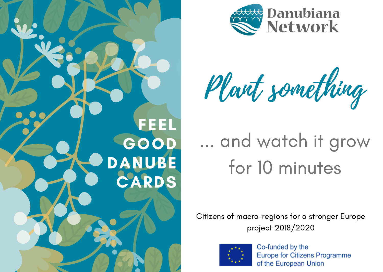



Plant something

# ... and watch it grow for 10 minutes

Citizens of macro-regions for a stronger Europe project 2018/2020

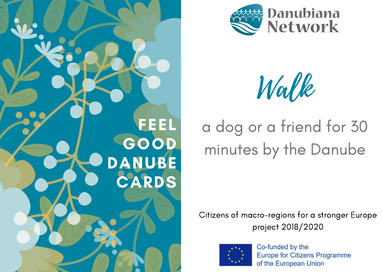



Walk

## a dog or a friend for 30 minutes by the Danube

Citizens of macro-regions for a stronger Europe project 2018/2020

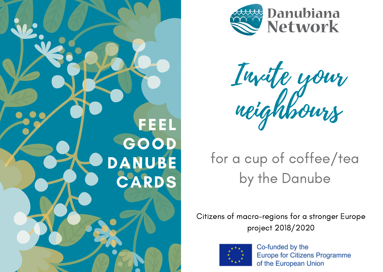



Invite your neighbours

### for a cup of coffee/tea by the Danube

Citizens of macro-regions for a stronger Europe project 2018/2020

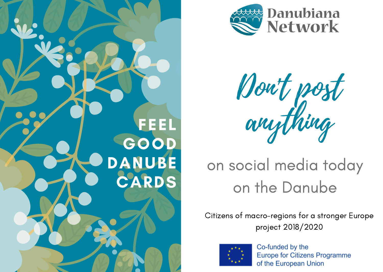



Don't post FEEL anything

## on social media today on the Danube

Citizens of macro-regions for a stronger Europe project 2018/2020

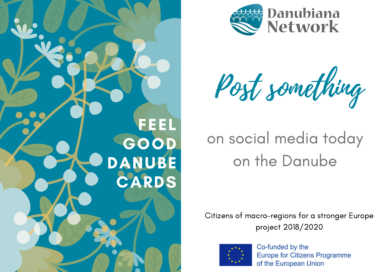



Post something

## on social media today on the Danube

Citizens of macro-regions for a stronger Europe project 2018/2020

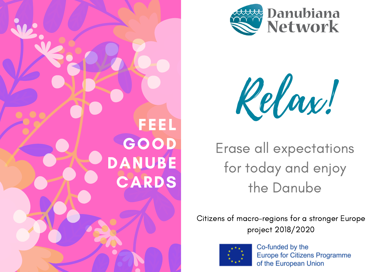





Erase all expectations for today and enjoy the Danube

Citizens of macro-regions for a stronger Europe project 2018/2020

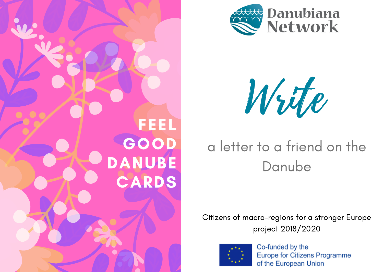



Write

### a letter to a friend on the Danube

Citizens of macro-regions for a stronger Europe project 2018/2020

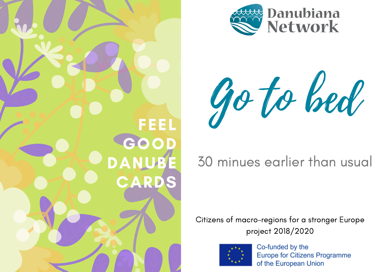



Go to bed

#### 30 minues earlier than usual

Citizens of macro-regions for a stronger Europe project 2018/2020

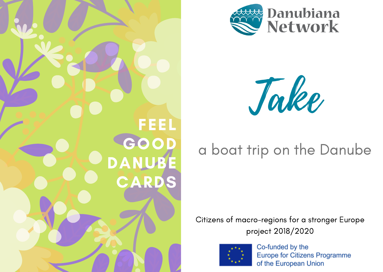





#### a boat trip on the Danube

Citizens of macro-regions for a stronger Europe project 2018/2020

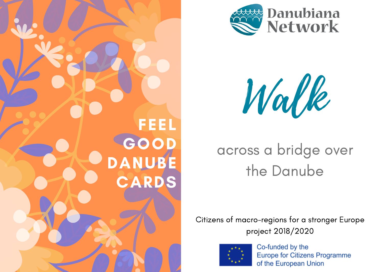





### across a bridge over the Danube

Citizens of macro-regions for a stronger Europe project 2018/2020

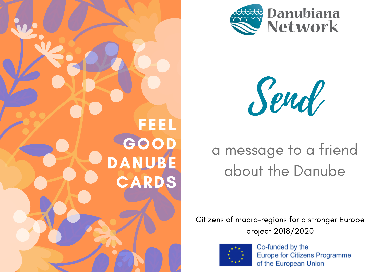



Send

## a message to a friend about the Danube

Citizens of macro-regions for a stronger Europe project 2018/2020